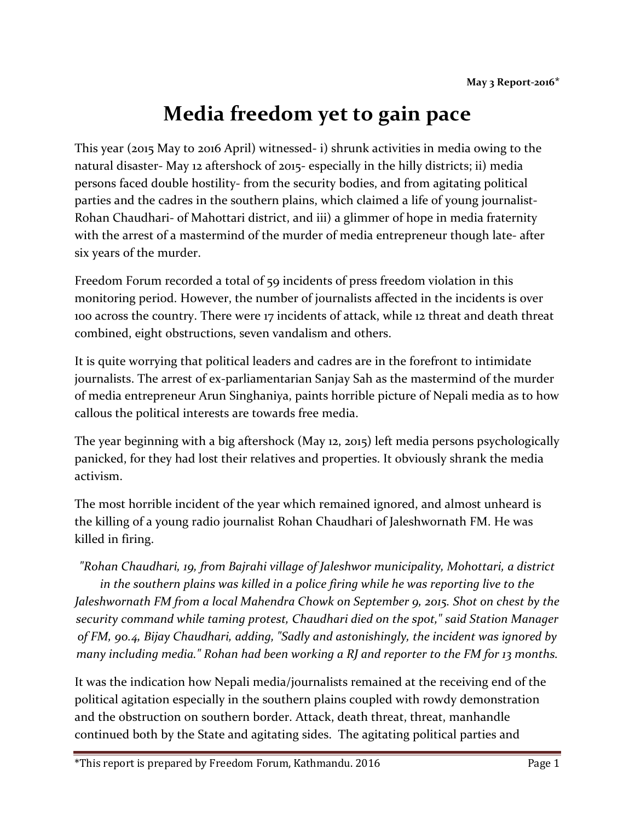## Media freedom yet to gain pace

This year (2015 May to 2016 April) witnessed- i) shrunk activities in media owing to the natural disaster- May 12 aftershock of 2015- especially in the hilly districts; ii) media persons faced double hostility- from the security bodies, and from agitating political parties and the cadres in the southern plains, which claimed a life of young journalist-Rohan Chaudhari- of Mahottari district, and iii) a glimmer of hope in media fraternity with the arrest of a mastermind of the murder of media entrepreneur though late- after six years of the murder.

Freedom Forum recorded a total of 59 incidents of press freedom violation in this monitoring period. However, the number of journalists affected in the incidents is over 100 across the country. There were 17 incidents of attack, while 12 threat and death threat combined, eight obstructions, seven vandalism and others.

It is quite worrying that political leaders and cadres are in the forefront to intimidate journalists. The arrest of ex-parliamentarian Sanjay Sah as the mastermind of the murder of media entrepreneur Arun Singhaniya, paints horrible picture of Nepali media as to how callous the political interests are towards free media.

The year beginning with a big aftershock (May 12, 2015) left media persons psychologically panicked, for they had lost their relatives and properties. It obviously shrank the media activism.

The most horrible incident of the year which remained ignored, and almost unheard is the killing of a young radio journalist Rohan Chaudhari of Jaleshwornath FM. He was killed in firing.

"Rohan Chaudhari, 19, from Bajrahi village of Jaleshwor municipality, Mohottari, a district in the southern plains was killed in a police firing while he was reporting live to the Jaleshwornath FM from a local Mahendra Chowk on September 9, 2015. Shot on chest by the security command while taming protest, Chaudhari died on the spot," said Station Manager of FM, 90.4, Bijay Chaudhari, adding, "Sadly and astonishingly, the incident was ignored by many including media." Rohan had been working a RJ and reporter to the FM for 13 months.

It was the indication how Nepali media/journalists remained at the receiving end of the political agitation especially in the southern plains coupled with rowdy demonstration and the obstruction on southern border. Attack, death threat, threat, manhandle continued both by the State and agitating sides. The agitating political parties and

\*This report is prepared by Freedom Forum, Kathmandu. 2016 **Page 1** Page 1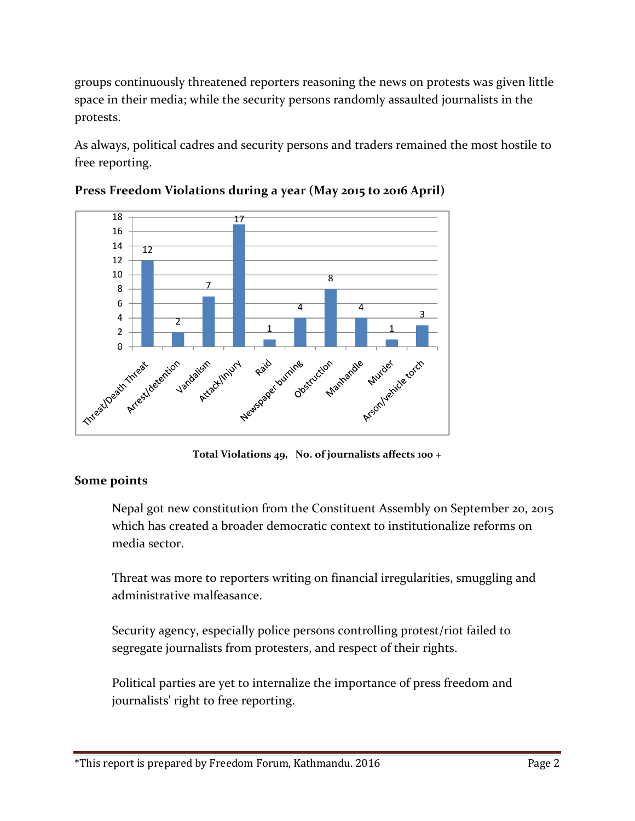groups continuously threatened reporters reasoning the news on protests was given little space in their media; while the security persons randomly assaulted journalists in the protests.

As always, political cadres and security persons and traders remained the most hostile to free reporting.



Press Freedom Violations during a year (May 2015 to 2016 April)

Total Violations 49, No. of journalists affects 100 +

## Some points

Nepal got new constitution from the Constituent Assembly on September 20, 2015 which has created a broader democratic context to institutionalize reforms on media sector.

Threat was more to reporters writing on financial irregularities, smuggling and administrative malfeasance.

Security agency, especially police persons controlling protest/riot failed to segregate journalists from protesters, and respect of their rights.

Political parties are yet to internalize the importance of press freedom and journalists' right to free reporting.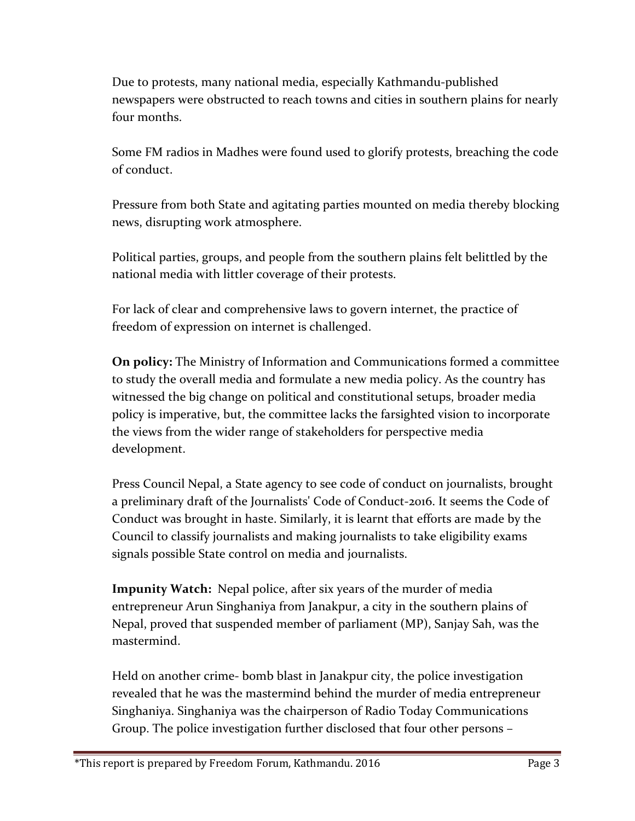Due to protests, many national media, especially Kathmandu-published newspapers were obstructed to reach towns and cities in southern plains for nearly four months.

Some FM radios in Madhes were found used to glorify protests, breaching the code of conduct.

Pressure from both State and agitating parties mounted on media thereby blocking news, disrupting work atmosphere.

Political parties, groups, and people from the southern plains felt belittled by the national media with littler coverage of their protests.

For lack of clear and comprehensive laws to govern internet, the practice of freedom of expression on internet is challenged.

On policy: The Ministry of Information and Communications formed a committee to study the overall media and formulate a new media policy. As the country has witnessed the big change on political and constitutional setups, broader media policy is imperative, but, the committee lacks the farsighted vision to incorporate the views from the wider range of stakeholders for perspective media development.

Press Council Nepal, a State agency to see code of conduct on journalists, brought a preliminary draft of the Journalists' Code of Conduct-2016. It seems the Code of Conduct was brought in haste. Similarly, it is learnt that efforts are made by the Council to classify journalists and making journalists to take eligibility exams signals possible State control on media and journalists.

Impunity Watch: Nepal police, after six years of the murder of media entrepreneur Arun Singhaniya from Janakpur, a city in the southern plains of Nepal, proved that suspended member of parliament (MP), Sanjay Sah, was the mastermind.

Held on another crime- bomb blast in Janakpur city, the police investigation revealed that he was the mastermind behind the murder of media entrepreneur Singhaniya. Singhaniya was the chairperson of Radio Today Communications Group. The police investigation further disclosed that four other persons –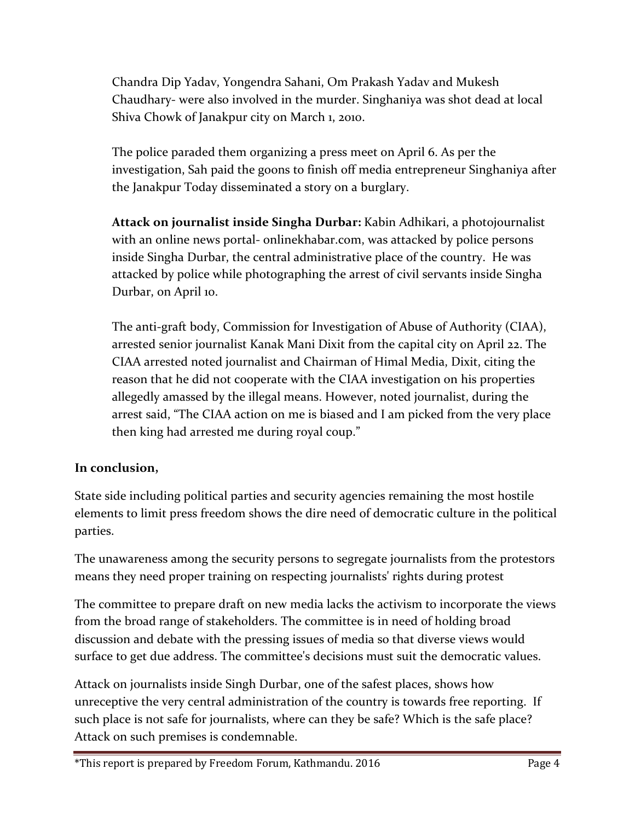Chandra Dip Yadav, Yongendra Sahani, Om Prakash Yadav and Mukesh Chaudhary- were also involved in the murder. Singhaniya was shot dead at local Shiva Chowk of Janakpur city on March 1, 2010.

The police paraded them organizing a press meet on April 6. As per the investigation, Sah paid the goons to finish off media entrepreneur Singhaniya after the Janakpur Today disseminated a story on a burglary.

Attack on journalist inside Singha Durbar: Kabin Adhikari, a photojournalist with an online news portal- onlinekhabar.com, was attacked by police persons inside Singha Durbar, the central administrative place of the country. He was attacked by police while photographing the arrest of civil servants inside Singha Durbar, on April 10.

The anti-graft body, Commission for Investigation of Abuse of Authority (CIAA), arrested senior journalist Kanak Mani Dixit from the capital city on April 22. The CIAA arrested noted journalist and Chairman of Himal Media, Dixit, citing the reason that he did not cooperate with the CIAA investigation on his properties allegedly amassed by the illegal means. However, noted journalist, during the arrest said, "The CIAA action on me is biased and I am picked from the very place then king had arrested me during royal coup."

## In conclusion,

State side including political parties and security agencies remaining the most hostile elements to limit press freedom shows the dire need of democratic culture in the political parties.

The unawareness among the security persons to segregate journalists from the protestors means they need proper training on respecting journalists' rights during protest

The committee to prepare draft on new media lacks the activism to incorporate the views from the broad range of stakeholders. The committee is in need of holding broad discussion and debate with the pressing issues of media so that diverse views would surface to get due address. The committee's decisions must suit the democratic values.

Attack on journalists inside Singh Durbar, one of the safest places, shows how unreceptive the very central administration of the country is towards free reporting. If such place is not safe for journalists, where can they be safe? Which is the safe place? Attack on such premises is condemnable.